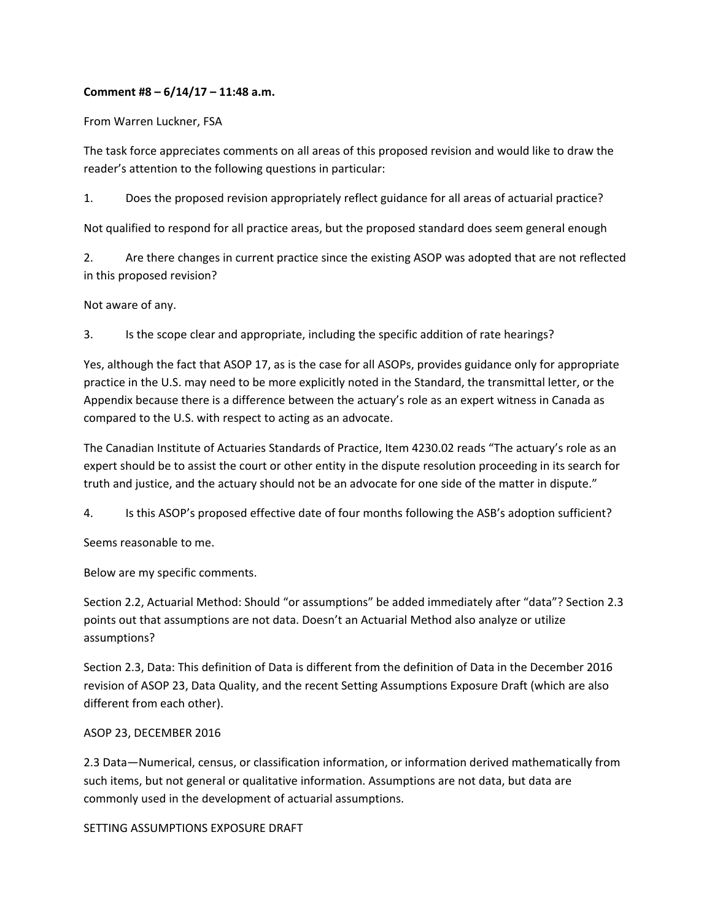## **Comment #8 – 6/14/17 – 11:48 a.m.**

From Warren Luckner, FSA

The task force appreciates comments on all areas of this proposed revision and would like to draw the reader's attention to the following questions in particular:

1. Does the proposed revision appropriately reflect guidance for all areas of actuarial practice?

Not qualified to respond for all practice areas, but the proposed standard does seem general enough

2. Are there changes in current practice since the existing ASOP was adopted that are not reflected in this proposed revision?

Not aware of any.

3. Is the scope clear and appropriate, including the specific addition of rate hearings?

Yes, although the fact that ASOP 17, as is the case for all ASOPs, provides guidance only for appropriate practice in the U.S. may need to be more explicitly noted in the Standard, the transmittal letter, or the Appendix because there is a difference between the actuary's role as an expert witness in Canada as compared to the U.S. with respect to acting as an advocate.

The Canadian Institute of Actuaries Standards of Practice, Item 4230.02 reads "The actuary's role as an expert should be to assist the court or other entity in the dispute resolution proceeding in its search for truth and justice, and the actuary should not be an advocate for one side of the matter in dispute."

4. Is this ASOP's proposed effective date of four months following the ASB's adoption sufficient?

Seems reasonable to me.

Below are my specific comments.

Section 2.2, Actuarial Method: Should "or assumptions" be added immediately after "data"? Section 2.3 points out that assumptions are not data. Doesn't an Actuarial Method also analyze or utilize assumptions?

Section 2.3, Data: This definition of Data is different from the definition of Data in the December 2016 revision of ASOP 23, Data Quality, and the recent Setting Assumptions Exposure Draft (which are also different from each other).

## ASOP 23, DECEMBER 2016

2.3 Data—Numerical, census, or classification information, or information derived mathematically from such items, but not general or qualitative information. Assumptions are not data, but data are commonly used in the development of actuarial assumptions.

SETTING ASSUMPTIONS EXPOSURE DRAFT